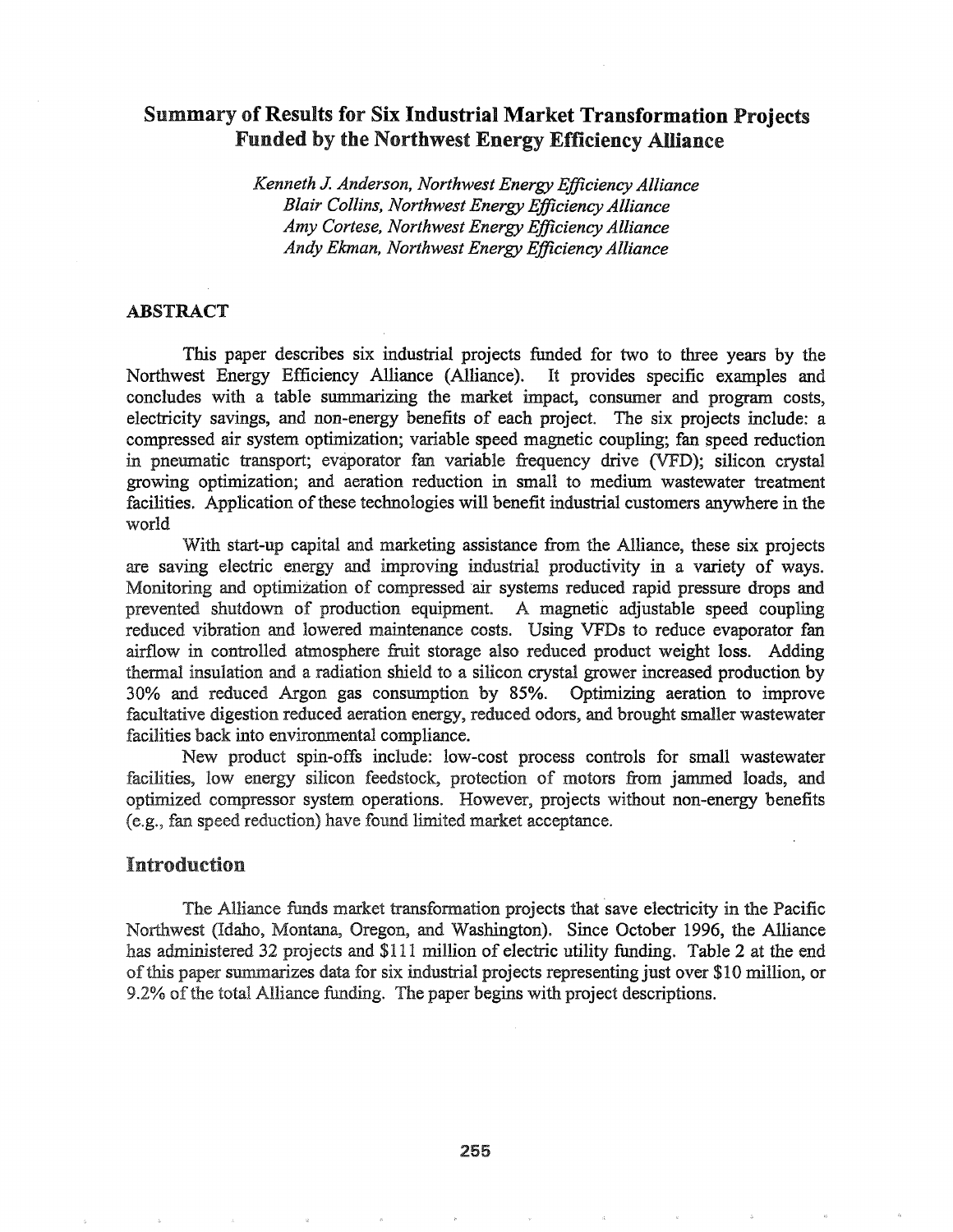# Summary of Results for Six Industrial Market Transformation Projects Funded by the Northwest Energy Efficiency Alliance

*Kenneth* J. *Anderson, Northwest Energy Efficiency Alliance Blair Collins, Northwest Energy Efficiency Alliance Amy Cortese, Northwest Energy Efficiency Alliance Andy Ekman, Northwest Energy Efficiency·Alliance*

### ABSTRACT

This paper describes six industrial projects funded for two to three years by the Northwest Energy Efficiency Alliance (Alliance). It provides specific examples and concludes with a table summarizing the market impact, consumer and program costs, electricity savings, and non-energy benefits of each project. The six projects include: a compressed air system optimization; variable speed magnetic coupling; fan speed reduction in pneumatic transport; evaporator fan variable frequency drive (VFD); silicon crystal growing optimization; and aeration reduction in small to medium wastewater treatment facilities. Application of these technologies will benefit industrial customers anywhere in the world

With start-up capital and marketing assistance from the Alliance, these six projects are saving electric energy and improving industrial productivity in a variety of ways. Monitoring and optimization of compressed air systems reduced rapid pressure drops and prevented shutdown of production equipment. A magnetic adjustable speed coupling reduced vibration and lowered maintenance costs. Using VFDs to reduce evaporator fan airflow in controlled atmosphere fruit storage also reduced product weight loss. Adding thermal insulation and a radiation shield to a silicon crystal grower increased production by 30% and reduced Argon gas consumption by 85%. Optimizing aeration to improve facultative digestion reduced aeration energy, reduced odors, and brought smaller wastewater facilities back into environmental compliance..

New product spin-offs include: low-cost process controls for small wastewater facilities, low energy silicon feedstock, protection of motors from jammed loads, and optimized compressor system operations.. However, projects without non-energy benefits (e.g., fan speed reduction) have found limited market acceptance.

## Introduction

The Alliance funds market transformation projects that save electricity in the Pacific Northwest (Idaho, Montana, Oregon, and Washington).. Since October 1996, the Alliance has administered 32 projects and \$111 million of electric utility funding.. Table 2 at the end ofthis paper summarizes data for six industrial projects representing just over \$10 million, or 9.2% of the total Alliance funding. The paper begins with project descriptions.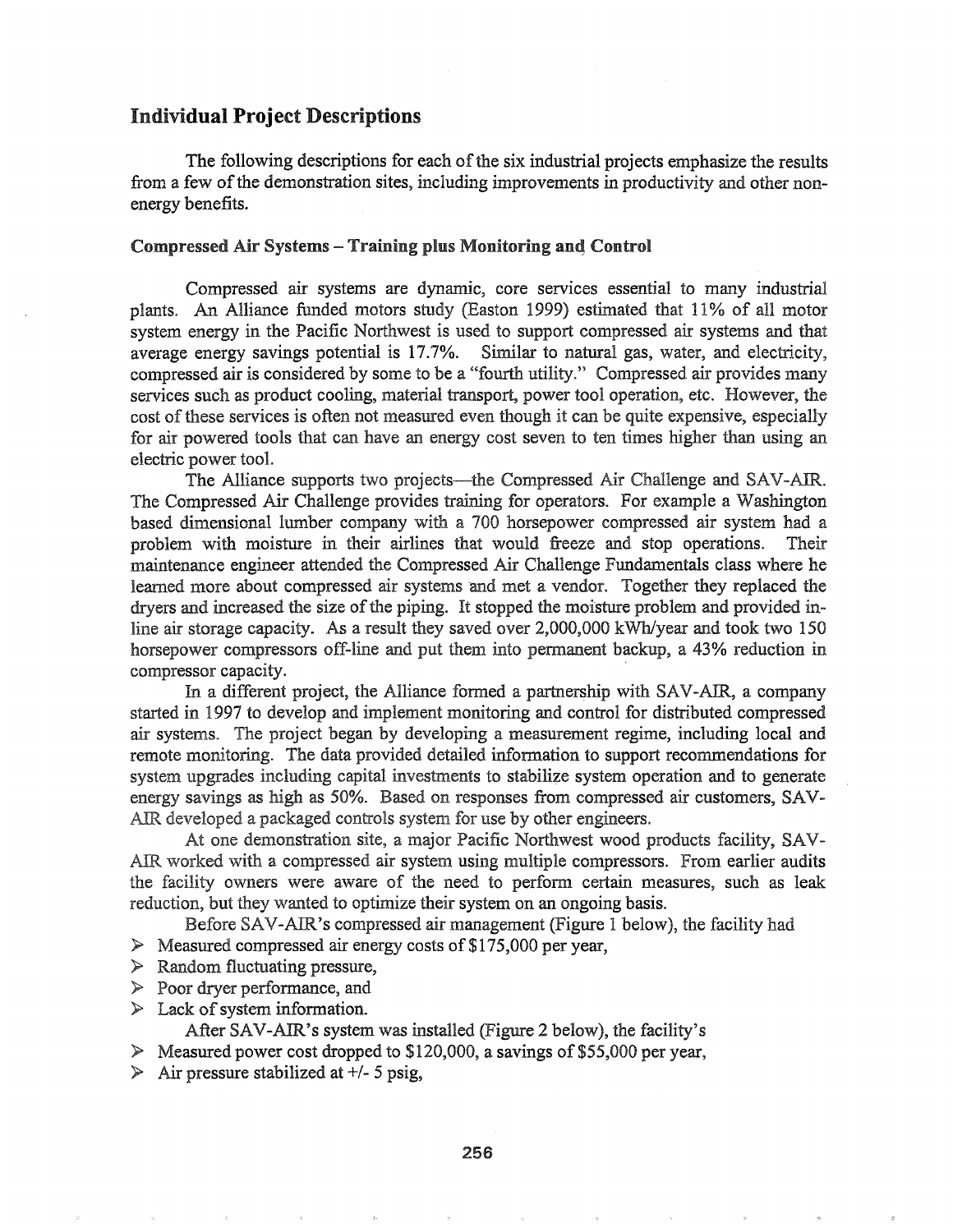### Individual Project Descriptions

The following descriptions for each of the six industrial projects emphasize the results from a few of the demonstration sites, including improvements in productivity and other nonenergy benefits.

#### Compressed Air Systems - Training plus Monitoring and Control

Compressed air systems are dynamic, core sezvices essential to many industrial plants. An Alliance funded motors study (Easton 1999) estimated that 11% of all motor system energy in the Pacific Northwest is used to support compressed air systems and that average energy savings potential is 17.7%. Similar to natural gas, water, and electricity, compressed air is considered by some to be a "fourth utility." Compressed air provides many services such as product cooling, material transport, power tool operation, etc. However, the cost of these services is often not measured even though it can be quite expensive, especially for air powered tools that can have an energy cost seven to ten times higher than using an electric power tool.

The Alliance supports two projects—the Compressed Air Challenge and SAV-AIR. The Compressed Air Challenge provides training for operators.. For example a Washington based dimensional lumber company with a 700 horsepower compressed air system had a problem with moisture in their airlines that would freeze and stop operations. Their maintenance engineer attended the Compressed Air Challenge Fundamentals class where he learned more about compressed air systems and met a vendor. Together they replaced the dryers and increased the size of the piping. It stopped the moisture problem and provided inline air storage capacity. As a result they saved over  $2,000,000$  kWh/year and took two 150 horsepower compressors off-line and put them into permanent backup, a 43% reduction in compressor capacity.

In a different project, the Alliance formed a partnership with SAV-AIR, a company started in 1997 to develop and implement monitoring and control for distributed compressed air systems. The project began by developing a measurement regime, including local and remote monitoring. The data provided detailed information to support recommendations for system upgrades including capital investments to stabilize system operation and to generate energy savings as high as 50%. Based on responses from compressed air customers, SAV-AIR developed a packaged controls system for use by other engineers.

At one demonstration site, a major Pacific Northwest wood products facility, SAV-AIR worked with a compressed air system using multiple compressors. From earlier audits the facility owners were aware of the need to perform certain measures, such as leak reduction, but they wanted to optimize their system on an ongoing basis.

Before SAV-AIR's compressed air management (Figure 1 below), the facility had

- $\geq$  Measured compressed air energy costs of \$175,000 per year,
- » Random fluctuating pressure,
- $\triangleright$  Poor dryer performance, and
- $\triangleright$  Lack of system information.

After SAV-AlR's system was installed (Figure 2 below), the facility's

 $\triangleright$  Measured power cost dropped to \$120,000, a savings of \$55,000 per year,

 $\triangleright$  Air pressure stabilized at +/- 5 psig,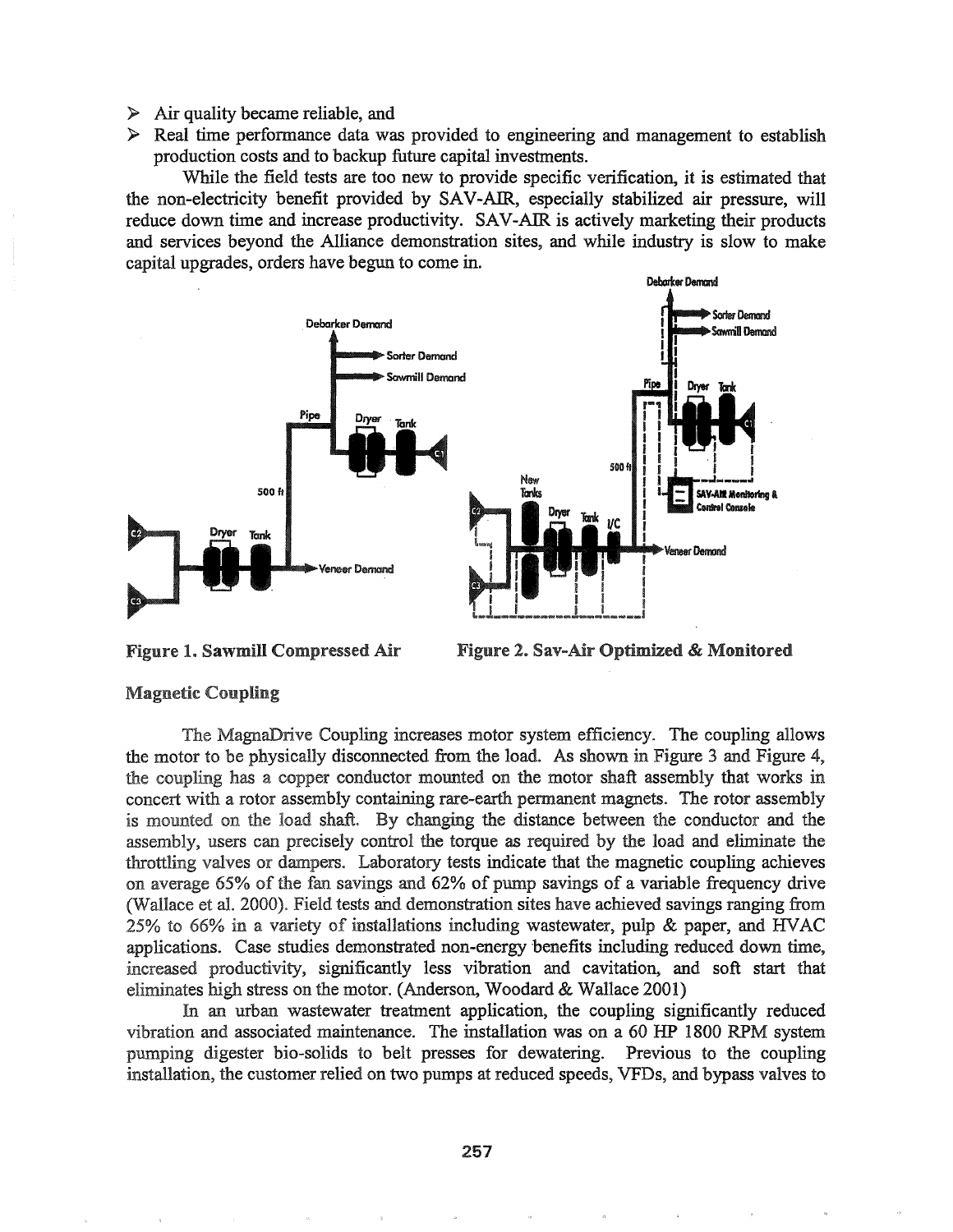- $\triangleright$  Air quality became reliable, and
- $\triangleright$  Real time performance data was provided to engineering and management to establish production costs and to backup future capital investments.

While the field tests are too new to provide specific verification, it is estimated that the non-electricity benefit provided by SAV-AIR, especially stabilized air pressure, will reduce down time and increase productivity. SAV-AIR is actively marketing their products and services beyond the Alliance demonstration sites, and while industry is slow to make capital upgrades, orders have begun to come in.



**Figure 1. Sawmill Compressed Air** 

Figure 2. Sav-Air Optimized & Monitored

### **Magnetic Coupling**

The MagnaDrive Coupling increases motor system efficiency. The coupling allows the motor to be physically disconnected from the load. As shown in Figure 3 and Figure 4, the coupling has a copper conductor mounted on the motor shaft assembly that works in concert with a rotor assembly containing rare-earth permanent magnets. The rotor assembly is mounted on the load shaft. By changing the distance between the conductor and the assembly, users can precisely control the torque as required by the load and eliminate the throttling valves or dampers. Laboratory tests indicate that the magnetic coupling achieves on average 65% of the fan savings and 62% of pump savings of a variable frequency drive (Wallace et al. 2000). Field tests and demonstration sites have achieved savings ranging from  $25\%$  to 66% in a variety of installations including wastewater, pulp & paper, and HVAC applications. Case studies demonstrated non-energy benefits including reduced down time, increased productivity, significantly less vibration and cavitation, and soft start that eliminates high stress on the motor. (Anderson, Woodard & Wallace 2001)

In an urban wastewater treatment application, the coupling significantly reduced vibration and associated maintenance. The installation was on a 60 HP 1800 RPM system pumping digester bio-solids to belt presses for dewatering. Previous to the coupling installation, the customer relied on two pumps at reduced speeds, VFDs, and bypass valves to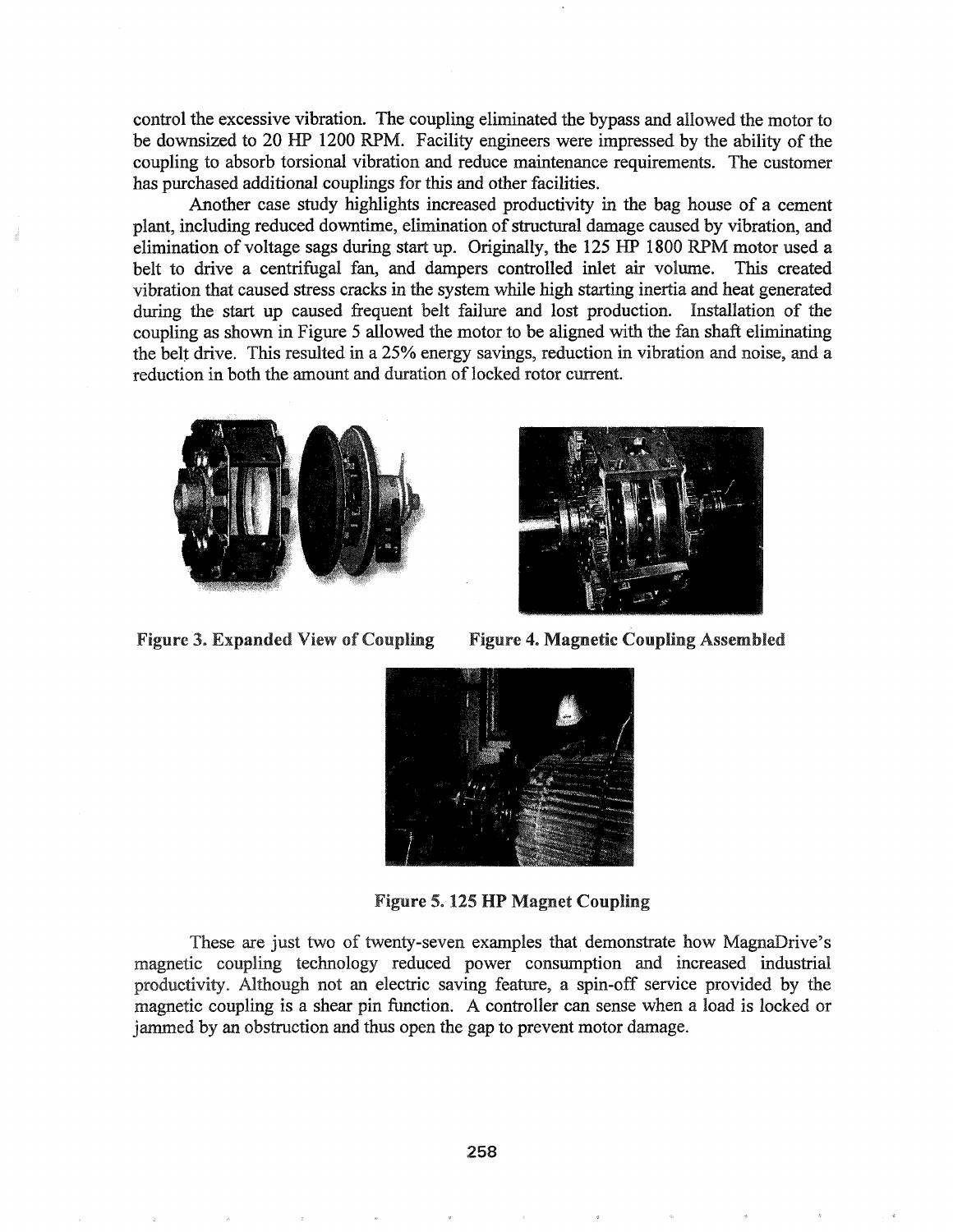control the excessive vibration. The coupling eliminated the bypass and allowed the motor to be downsized to 20 HP 1200 RPM. Facility engineers were impressed by the ability of the coupling to absorb torsional vibration and reduce maintenance requirements. The customer has purchased additional couplings for this and other facilities.

Another case study highlights increased productivity in the bag house of a cement plant, including reduced downtime, elimination of structural damage caused by vibration, and elimination of voltage sags during start up. Originally, the 125 HP 1800 RPM motor used a belt to drive a centrifugal fan, and dampers controlled inlet air volume. This created vibration that caused stress cracks in the system while high starting inertia and heat generated during the start up caused frequent belt failure and lost production. Installation of the coupling as shown in Figure 5 allowed the motor to be aligned with the fan shaft eliminating the belt drive. This resulted in a 25% energy savings, reduction in vibration and noise, and a reduction in both the amount and duration of locked rotor current.





Figure 3. Expanded View of Coupling Figure 4. Magnetic Coupling Assembled



Figure 5. 125 HP Magnet Coupling

These are just two of twenty-seven examples that demonstrate how MagnaDrive's magnetic coupling technology reduced power consumption and increased industrial productivity. Although not an electric saving feature, a spin-off service provided by the magnetic coupling is a shear pin function. A controller can sense when a load is locked or jammed by an obstruction and thus open the gap to prevent motor damage.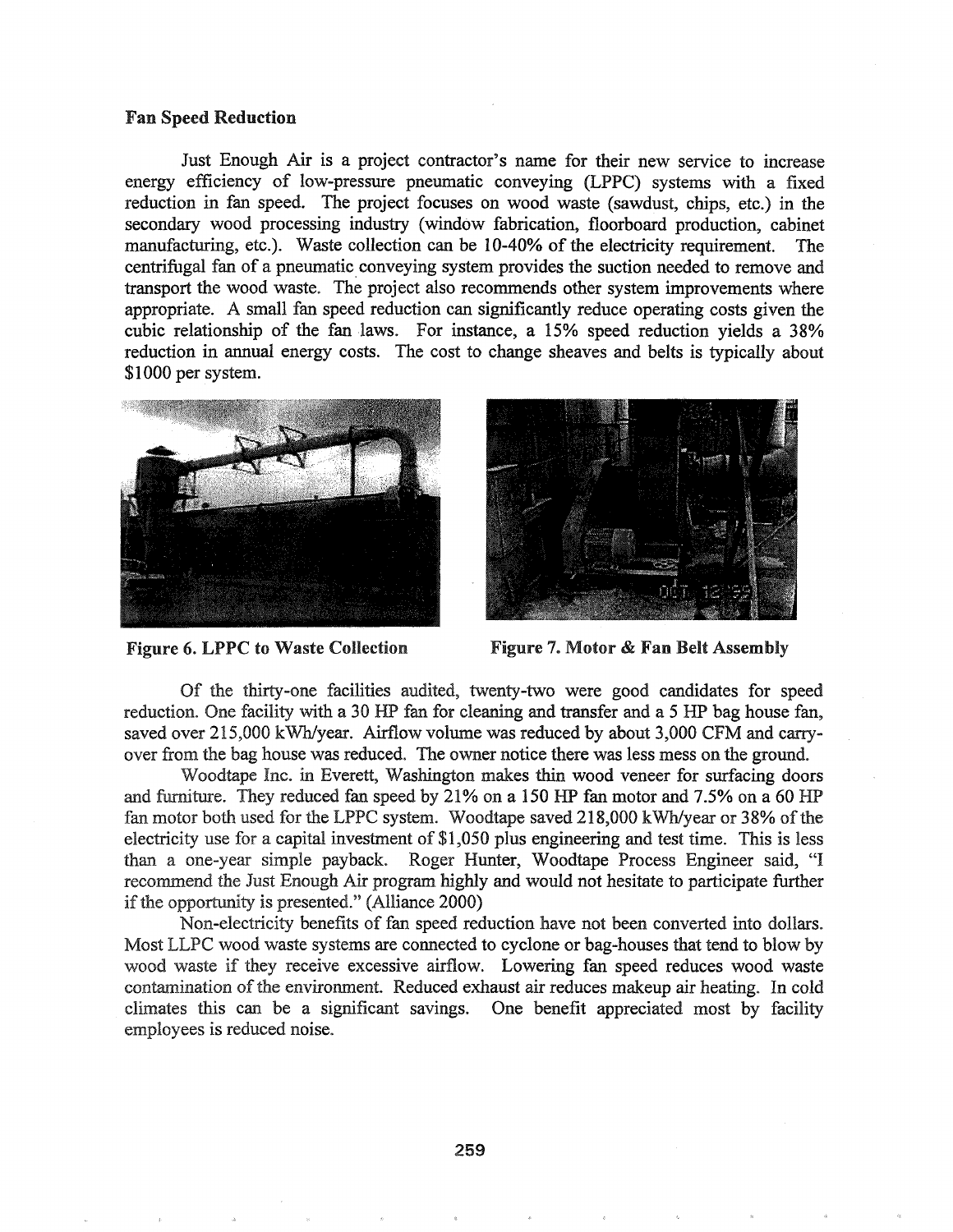#### Fan Speed Reduction

Just Enough Air is a project contractor's name for their new service to increase energy efficiency of low-pressure pneumatic conveying (LPPC) systems with a fixed reduction in fan speed. The project focuses on wood waste (sawdust, chips, etc.) in the secondary wood processing industry (window fabrication, floorboard production, cabinet manufacturing, etc.). Waste collection can be 10-40% of the electricity requirement. The centrifugal fan of a pneumatic. conveying system provides the suction needed to remove and transport the wood waste. The project also recommends other system improvements where appropriate. A small fan speed reduction can significantly reduce operating costs given the cubic relationship of the fan laws. For instance, a  $15\%$  speed reduction yields a  $38\%$ reduction in annual energy costs. The cost to change sheaves and belts is typically about \$1000 per system.





Figure 6. LPPC to Waste Collection Figure 7. Motor & Fan Belt Assembly

Of the thirty-one facilities audited, twenty-two were good candidates for speed reduction. One facility with a 30 HP fan for cleaning and transfer and a 5 HP bag house fan, saved over 215,000 kWh/year. Airflow volume was reduced by about 3,000 CFM and carryover from the bag house was reduced. The owner notice there was less mess on the ground.

Woodtape Inc. in Everett, Washington makes thin wood veneer for surfacing doors and furniture. They reduced fan speed by  $21\%$  on a 150 HP fan motor and 7.5% on a 60 HP fan motor both used for the LPPC system. Woodtape saved 218,000 kWh/year or 38% of the electricity use for a capital investment of \$1,050 plus engineering and test time. This is less a one-year simple payback.. Roger Hunter, Woodtape Process Engineer said, "I recommend the Just Enough Air program highly and would not hesitate to participate further if the opportunity is presented."  $(Alliance 2000)$ 

Non-electricity benefits of fan speed reduction have not been converted into dollars. Most LLPC wood waste systems are connected to cyclone or bag-houses that tend to blow by wood waste if they receive excessive airflow. Lowering fan speed reduces wood waste contamination of the environment. Reduced exhaust air reduces makeup air heating. In cold climates this can be a significant savings. One benefit appreciated most by facility employees is reduced noise.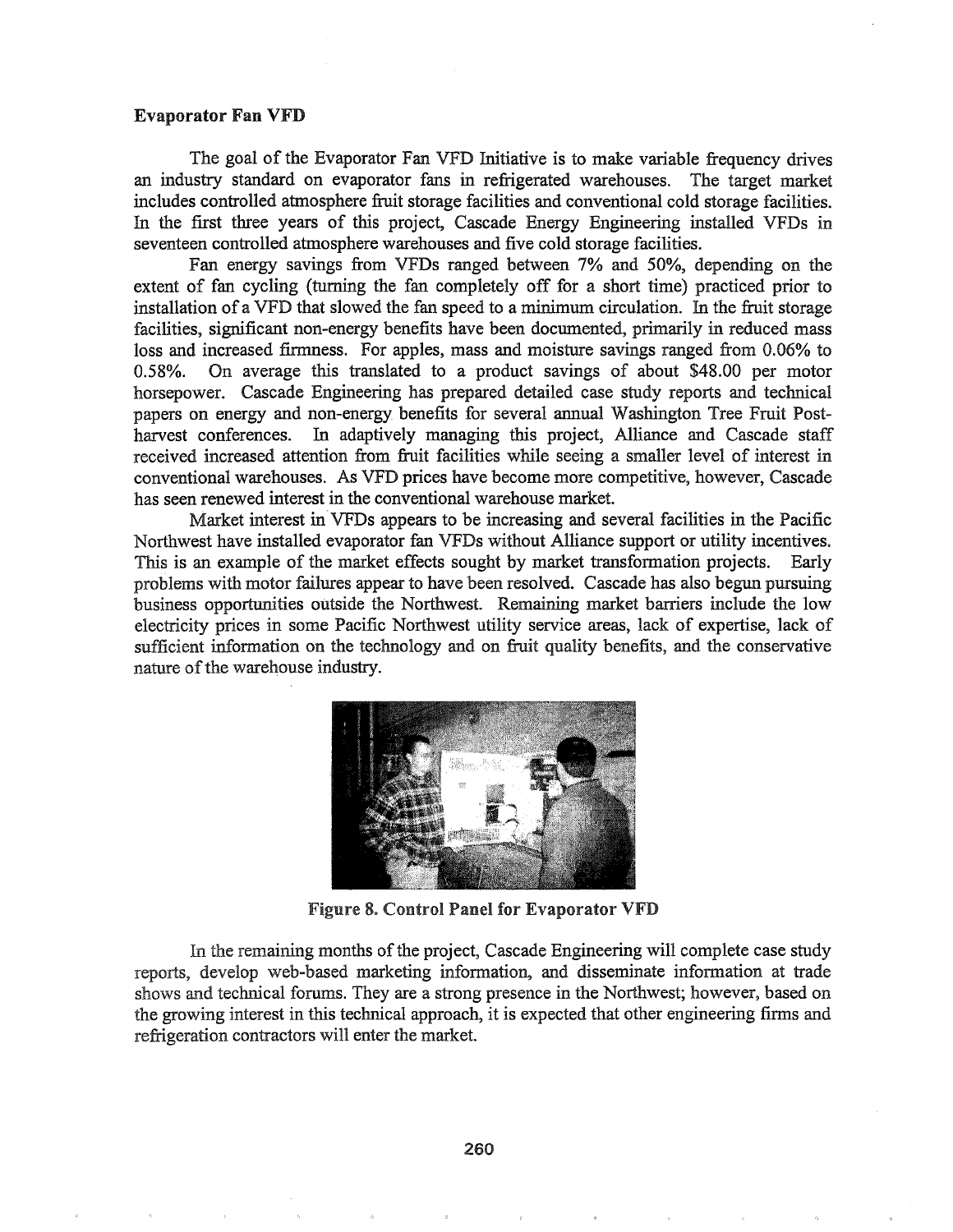### Evaporator Fan VFD

The goal of the Evaporator Fan VFD Initiative is to make variable frequency drives an industry standard on evaporator fans in refrigerated warehouses. The target market includes controlled atmosphere fruit storage facilities and conventional cold storage facilities. In the first three years of this project, Cascade Energy Engineering installed VFDs in seventeen controlled atmosphere warehouses and five cold storage facilities.

Fan energy savings from VFDs ranged between 7% and 50%, depending on the extent of fan cycling (turning the fan completely off for a short time) practiced prior to installation of a VFD that slowed the fan speed to a minimum circulation. In the fruit storage facilities, significant non-energy benefits have been documented, primarily in reduced mass loss and increased frrmness. For apples, mass and moisture savings ranged from 0.06% to 0.58%. On average this translated to a product savings of about \$48.00 per motor horsepower. Cascade Engineering has prepared detailed case study reports and technical papers on energy and non-energy benefits for several annual Washington Tree Fruit Postharvest conferences. In adaptively managing this project, Alliance and Cascade staff received increased attention from fruit facilities while seeing a smaller level of interest in conventional warehouses. As VFD prices have become more competitive, however, Cascade has seen renewed interest in the conventional warehouse market.

Market interest in VFDs appears to be increasing and several facilities in the Pacific Northwest have installed evaporator fan VFDs without Alliance support or utility incentives. This is an example of the market effects sought by market transformation projects. Early problems with motor failures appear to have been resolved. Cascade has also begun pursuing business opportunities outside the Northwest. Remaining market barriers include the low electricity prices in some Pacific Northwest utility service areas, lack of expertise, lack of sufficient information on the technology and on fruit quality benefits, and the conservative nature of the warehouse industry.



Figure 8. Control Panel for Evaporator VFD

In the remaining months of the project, Cascade Engineering will complete case study reports, develop web-based marketing information, and disseminate information at trade shows and technical forums. They are a strong presence in the Northwest; however, based on the growing interest in this technical approach, it is expected that other engineering firms and refrigeration contractors will enter the market.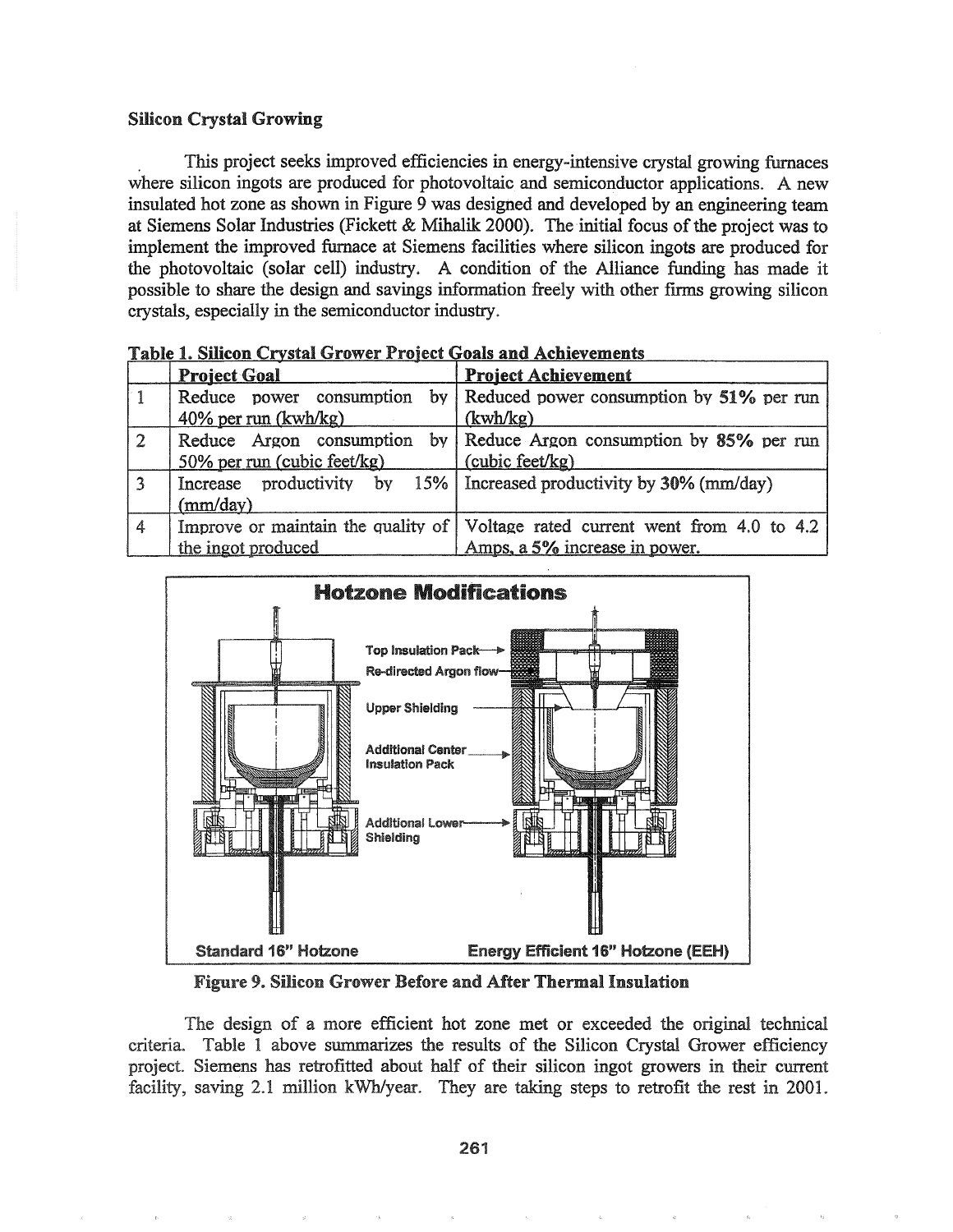### Silicon Crystal Growing

. This project seeks improved efficiencies in energy-intensive crystal growing furnaces where silicon ingots are produced for photovoltaic and semiconductor applications. A new insulated hot zone as shown in Figure 9 was designed and developed by an engineering team at Siemens Solar Industries (Fickett & Mihalik 2000). The initial focus of the project was to implement the improved furnace at Siemens facilities where silicon ingots are produced for the photovoltaic (solar cell) industry. A condition of the Alliance funding has made it possible to share the design and savings information freely with other firms growing silicon crystals, especially in the semiconductor industry.

|                | <b>Project Goal</b>         | <b>Project Achievement</b>                                                             |  |  |  |  |  |  |
|----------------|-----------------------------|----------------------------------------------------------------------------------------|--|--|--|--|--|--|
|                |                             | Reduce power consumption by Reduced power consumption by 51% per run                   |  |  |  |  |  |  |
|                | $40\%$ per run (kwh/kg)     | (kwh/kg)                                                                               |  |  |  |  |  |  |
| $\overline{2}$ | 50% per run (cubic feet/kg) | Reduce Argon consumption by Reduce Argon consumption by 85% per run<br>(cubic feet/kg) |  |  |  |  |  |  |
| 3              | (mm/day)                    | Increase productivity by $15\%$   Increased productivity by 30% (mm/day)               |  |  |  |  |  |  |
| 4              |                             | Improve or maintain the quality of Voltage rated current went from 4.0 to 4.2          |  |  |  |  |  |  |
|                | the ingot produced          | Amps, a 5% increase in power.                                                          |  |  |  |  |  |  |

Table 1. Silicon Crystal Grower Project Goals and Achievements



Figure 9. Silicon Grower Before and After Thermal Insulation

The design of a more efficient hot zone met or exceeded the original technical Table 1 above summarizes the results of the Silicon Crystal Grower efficiency project. Siemens has retrofitted about half of their silicon ingot growers in their current facility, saving 2.1 million kWh/year. They are taking steps to retrofit the rest in 2001.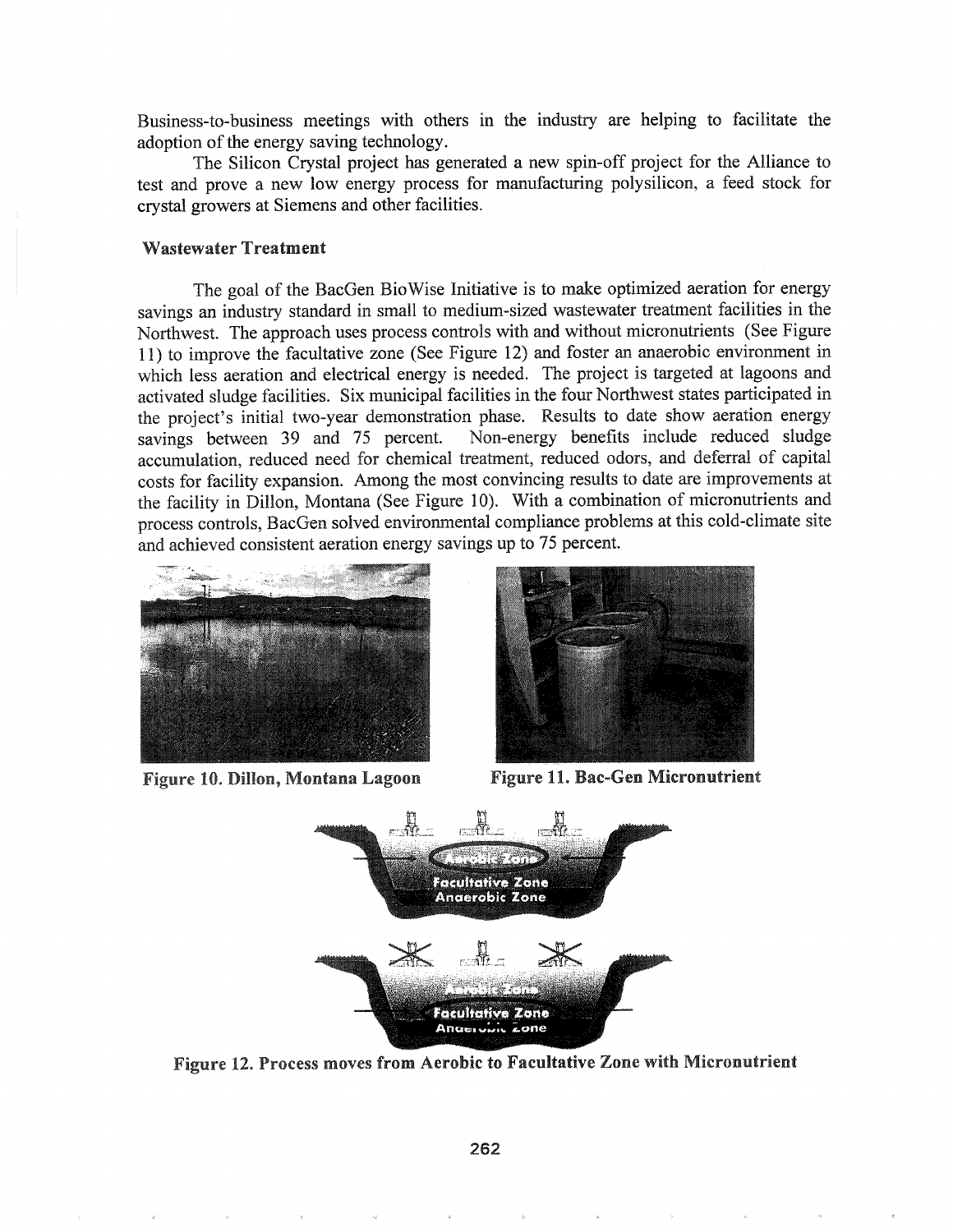Business-to-business meetings with others in the industry are helping to facilitate the adoption of the energy saving technology.

The Silicon Crystal project has generated a new spin-off project for the Alliance to test and prove a new low energy process for manufacturing polysilicon, a feed stock for crystal growers at Siemens and other facilities.

### Wastewater Treatment

The goal of the BacGen BioWise Initiative is to make optimized aeration for energy savings an industry standard in small to medium-sized wastewater treatment facilities in the Northwest. The approach uses process controls with and without micronutrients (See Figure 11) to improve the facultative zone (See Figure 12) and foster an anaerobic environment in which less aeration and electrical energy is needed. The project is targeted at lagoons and activated sludge facilities. Six municipal facilities in the four Northwest states participated in the project's initial two-year demonstration phase. Results to date show aeration energy savings between 39 and 75 percent. Non-energy benefits include reduced sludge accumulation, reduced need for chemical treatment, reduced odors, and deferral of capital costs for facility expansion. Among the most convincing results to date are improvements at the facility in Dillon, Montana (See Figure 10). With a combination of micronutrients and process controls, BacGen solved environmental compliance problems at this cold-climate site and achieved consistent aeration energy savings up to 75 percent.



Figure 10. Dillon, Montana Lagoon



**Figure 11. Bac-Gen Micronutrient** 



Figure 12. Process moves from Aerobic to Facultative Zone with Micronutrient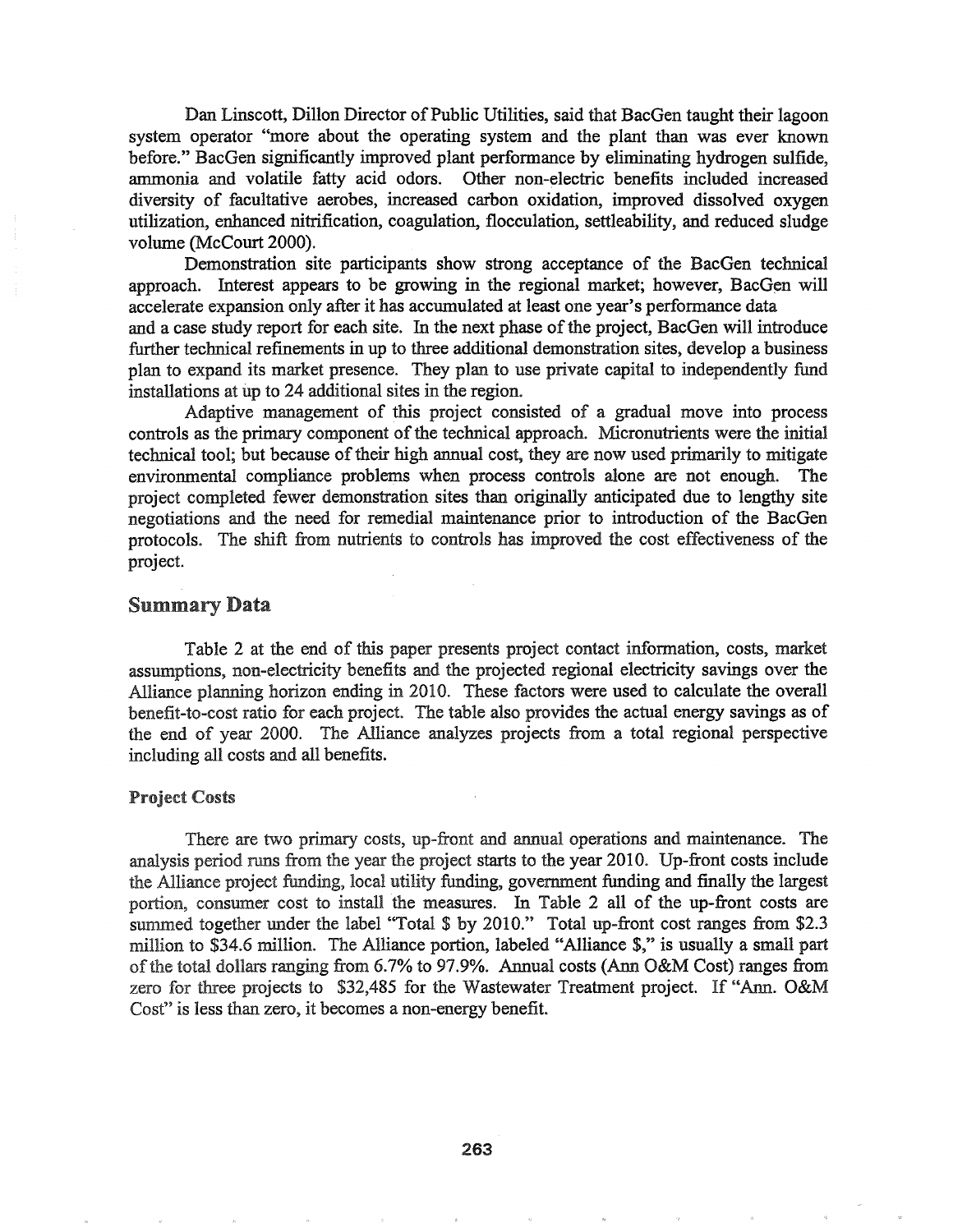Dan Linscott, Dillon Director of Public Utilities, said that BacGen taught their lagoon system operator "more about the operating system and the plant than was ever known before." BacGen significantly improved plant performance by eliminating hydrogen sulfide, ammonia and volatile fatty acid odors. Other non-electric benefits included increased diversity of facultative aerobes, increased carbon oxidation, improved dissolved oxygen utilization, enhanced nitrification, coagulation, flocculation, settleability, and reduced sludge volume (McCourt 2000).

Demonstration site participants show strong acceptance of the BacGen technical approach. Interest appears to be growing in the regional market; however, BacGen will accelerate expansion only after it has accumulated at least one year's performance data and a case study report for each site. In the next phase of the project, BacGen will introduce further technical refinements in up to three additional demonstration sites, develop a business plan to expand its market presence. They plan to use private capital to independently fund installations at up to  $24$  additional sites in the region.

Adaptive management of this project consisted of a gradual move into process controls as the primary component of the technical approach. Micronutrients were the initial technical tool; but because of their high annual cost, they are now used primarily to mitigate environmental compliance problems when process controls alone are not enough.. The project completed fewer demonstration sites than originally anticipated due to lengthy site negotiations and the need for remedial maintenance prior to introduction of the BacGen protocols.. The shift from nutrients to controls has improved the cost effectiveness of the project.

### Summary Data

Table 2 at the end of this paper presents project contact information, costs, market assumptions, non-electricity benefits and the projected regional electricity savings over the Alliance planning horizon ending in 2010. These factors were used to calculate the overall benefit-to-cost ratio for each project. The table also provides the actual energy savings as of the end of year 2000. The Alliance analyzes projects from a total regional perspective including all costs and all benefits.

#### Project Costs

There are two primary costs, up-front and annual operations and maintenance. The analysis period runs from the year the project starts to the year 2010. Up-front costs include the Alliance project funding, local utility funding, government funding and finally the largest portion, consumer cost to install the measures. In Table 2 all of the up-front costs are summed together under the label "Total \$ by 2010." Total up-front cost ranges from \$2.3 million to \$34.6 million. The Alliance portion, labeled "Alliance \$," is usually a small part of the total dollars ranging from 6.7% to 97.9%. Annual costs (Ann O&M Cost) ranges from zero for three projects to \$32,485 for the Wastewater Treatment project. If "Ann. O&M Cost" is less than zero, it becomes a non-energy benefit.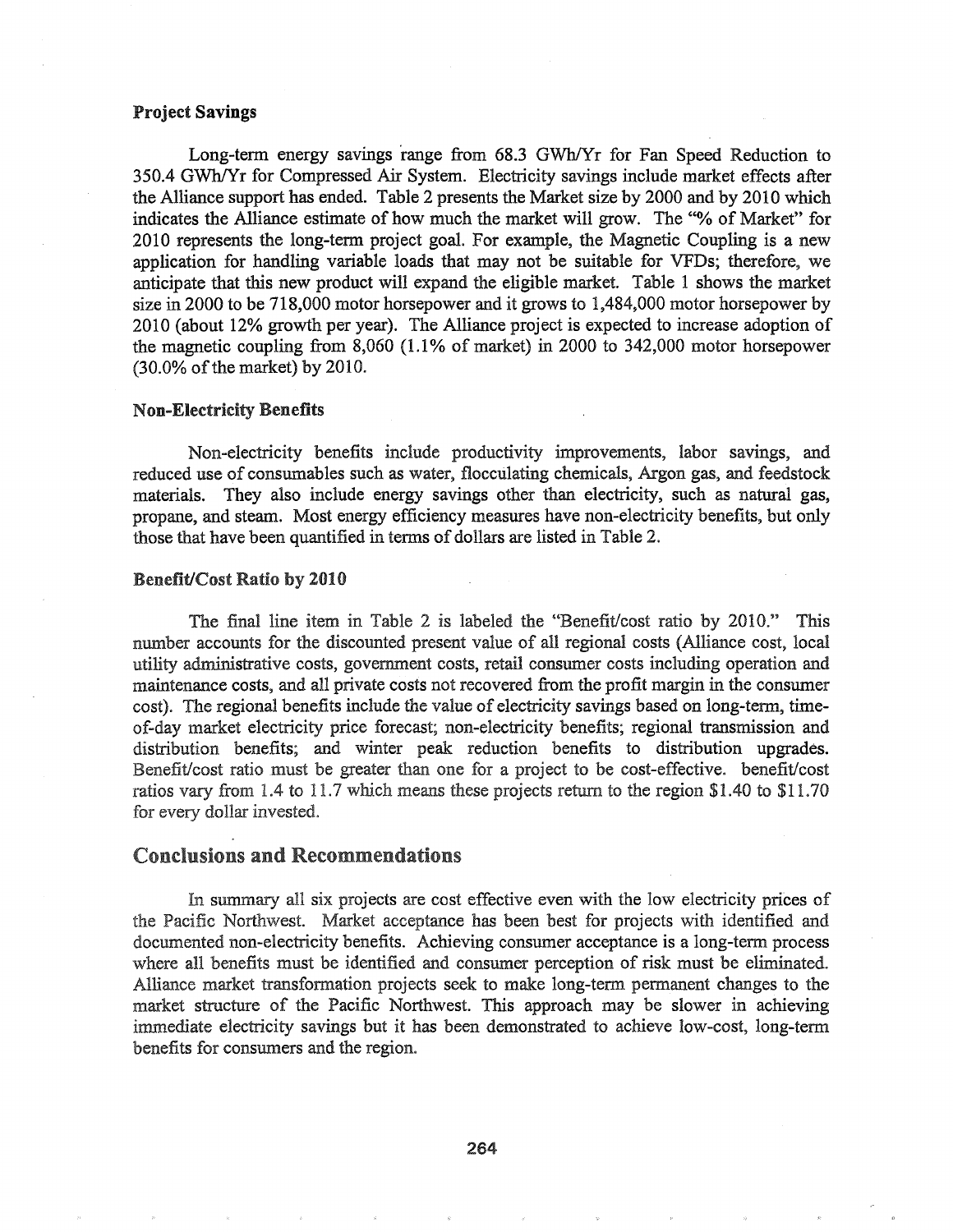### Project Savings

Long-term energy savings range from 68.3 GWh/Yr for Fan Speed Reduction to 350.4 GWh/Yr for Compressed Air System. Electricity savings include market effects after the Alliance support has ended. Table 2 presents the Market size by 2000 and by 2010 which indicates the Alliance estimate of how much the market will grow. The "% of Market" for 2010 represents the long-term project goal. For example, the Magnetic Coupling is a new application for handling variable loads that may not be suitable for VFDs; therefore, we anticipate that this new product will expand the eligible market. Table 1 shows the market size in 2000 to be 718,000 motor horsepower and it grows to 1,484,000 motor horsepower by 2010 (about 12% growth per year). The Alliance project is expected to increase adoption of the magnetic coupling from 8,060 (1.1% of market) in 2000 to 342,000 motor horsepower  $(30.0\% \text{ of the market})$  by 2010.

#### Non-Electricity Benefits

Non-electricity benefits include productivity improvements, labor savings, and reduced use of consumables such as water, flocculating chemicals, Argon gas, and feedstock materials. They also include energy savings other than electricity, such as natural gas, propane, and steam. Most energy efficiency measures have non-electricity benefits, but only those that have been quantified in terms of dollars are listed in Table 2.

#### Benefit/Cost Ratio by 2010

The final line item in Table 2 is labeled the "Benefit/cost ratio by 2010." This number accounts for the discounted present value of all regional costs (Alliance cost, local utility administrative costs, government costs, retail consumer costs including operation and maintenance costs, and all private costs not recovered from the profit margin in the consumer cost). The regional benefits include the value of electricity savings based on long-term, timeof-day market electricity price forecast; non-electricity benefits; regional transmission and distribution benefits; and winter peak reduction benefits to distribution upgrades. Benefit/cost ratio must be greater than one for a project to be cost-effective. benefit/cost ratios vary from 1.4 to 11.7 which means these projects return to the region \$1.40 to  $$11.70$ for every dollar invested.

#### Conclusions and Recommendations

In summary all six projects are cost effective even with the low electricity prices of the Pacific Northwest. Market acceptance has been best for projects with identified and documented non-electricity benefits. Achieving consumer acceptance is a long-term process where all benefits must be identified and consumer perception of risk must be eliminated. Alliance market transformation projects seek to make long-term permanent changes to the market structure of the Pacific Northwest. This approach may be slower in achieving immediate electricity savings but it has been demonstrated to achieve low-cost, long-term benefits for consumers and the region.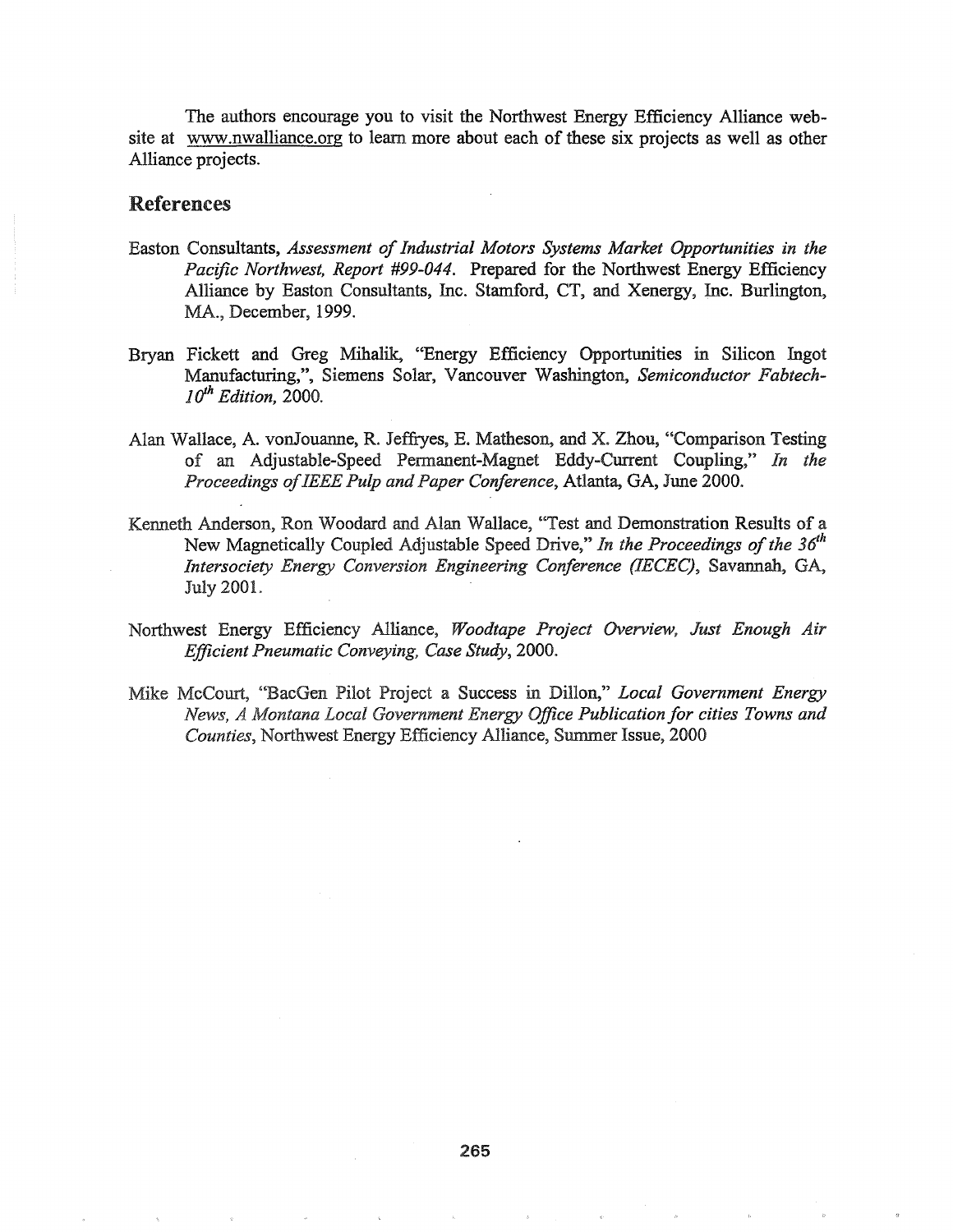The authors encourage you to visit the Northwest Energy Efficiency Alliance website at www.nwalliance.org to learn more about each of these six projects as well as other Alliance projects.

### References

- Easton Consultants, *Assessment of Industrial Motors Systems Market Opportunities in the Pacific Northwest, Report* #99-044~ Prepared for the Northwest Energy Efficiency Alliance by Easton Consultants, Inc. Stamford, CT, and Xenergy, Inc. Burlington, MA., December, 1999.
- Bryan Fickett and Greg Mihalik, "Energy Efficiency Opportunities in Silicon Ingot Manufacturing,", Siemens Solar, Vancouver Washington, *Semiconductor Fabtech- ]{jh Edition, 2000.*
- Alan Wallace, A. vonJouanne, R. Jeffryes, E. Matheson, and X. Zhou, "Comparison Testing of an Adjustable-Speed Permanent-Magnet Eddy-Current Coupling," *In the Proceedings ofIEEE Pulp and Paper Conference,* Atlanta, GA, June 2000.
- Kenneth Anderson, Ron Woodard and Alan Wallace, "Test and Demonstration Results of a New Magnetically Coupled Adjustable Speed Drive," In the Proceedings of the 36<sup>th</sup> *Intersociety Energy Conversion Engineering Conference (IECEC)*, Savannah, GA, **July 2001.**
- Northwest Energy Efficiency Alliance, *Woodtape Project Overview, Just Enough Air Efficient Pneumatic Conveying, Case Study, 2000..*
- Mike McCourt, "BacGen Pilot Project a Success in Dillon," *Local Government Energy News, A Montana Local Government Energy Office Publication for cities Towns and Counties, Northwest Energy Efficiency Alliance, Summer Issue, 2000*